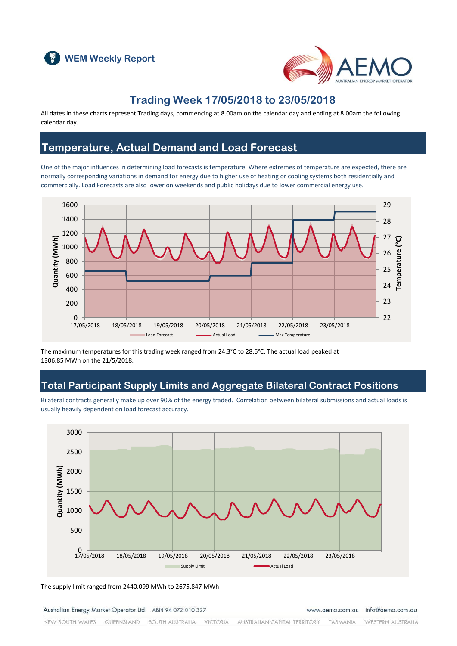



### **Trading Week 17/05/2018 to 23/05/2018**

All dates in these charts represent Trading days, commencing at 8.00am on the calendar day and ending at 8.00am the following calendar day.

#### **Temperature, Actual Demand and Load Forecast**

One of the major influences in determining load forecasts is temperature. Where extremes of temperature are expected, there are normally corresponding variations in demand for energy due to higher use of heating or cooling systems both residentially and commercially. Load Forecasts are also lower on weekends and public holidays due to lower commercial energy use.



The maximum temperatures for this trading week ranged from 24.3°C to 28.6°C. The actual load peaked at 1306.85 MWh on the 21/5/2018.

### **Total Participant Supply Limits and Aggregate Bilateral Contract Positions**

Bilateral contracts generally make up over 90% of the energy traded. Correlation between bilateral submissions and actual loads is usually heavily dependent on load forecast accuracy.



The supply limit ranged from 2440.099 MWh to 2675.847 MWh

Australian Energy Market Operator Ltd ABN 94 072 010 327

www.aemo.com.au info@aemo.com.au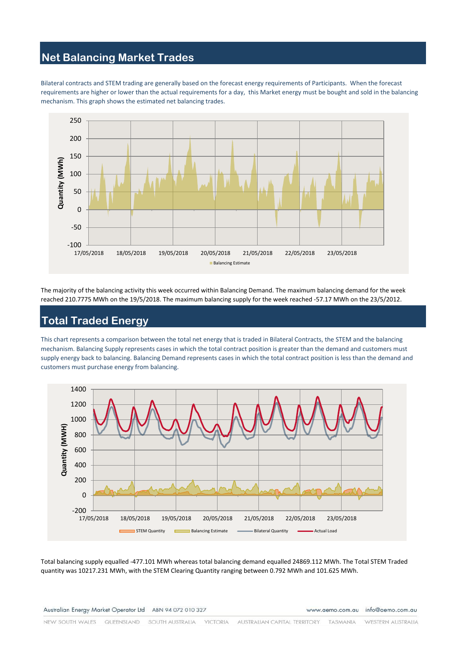# **Net Balancing Market Trades**

Bilateral contracts and STEM trading are generally based on the forecast energy requirements of Participants. When the forecast requirements are higher or lower than the actual requirements for a day, this Market energy must be bought and sold in the balancing mechanism. This graph shows the estimated net balancing trades.



The majority of the balancing activity this week occurred within Balancing Demand. The maximum balancing demand for the week reached 210.7775 MWh on the 19/5/2018. The maximum balancing supply for the week reached -57.17 MWh on the 23/5/2012.

# **Total Traded Energy**

This chart represents a comparison between the total net energy that is traded in Bilateral Contracts, the STEM and the balancing mechanism. Balancing Supply represents cases in which the total contract position is greater than the demand and customers must supply energy back to balancing. Balancing Demand represents cases in which the total contract position is less than the demand and customers must purchase energy from balancing.



Total balancing supply equalled -477.101 MWh whereas total balancing demand equalled 24869.112 MWh. The Total STEM Traded quantity was 10217.231 MWh, with the STEM Clearing Quantity ranging between 0.792 MWh and 101.625 MWh.

Australian Energy Market Operator Ltd ABN 94 072 010 327